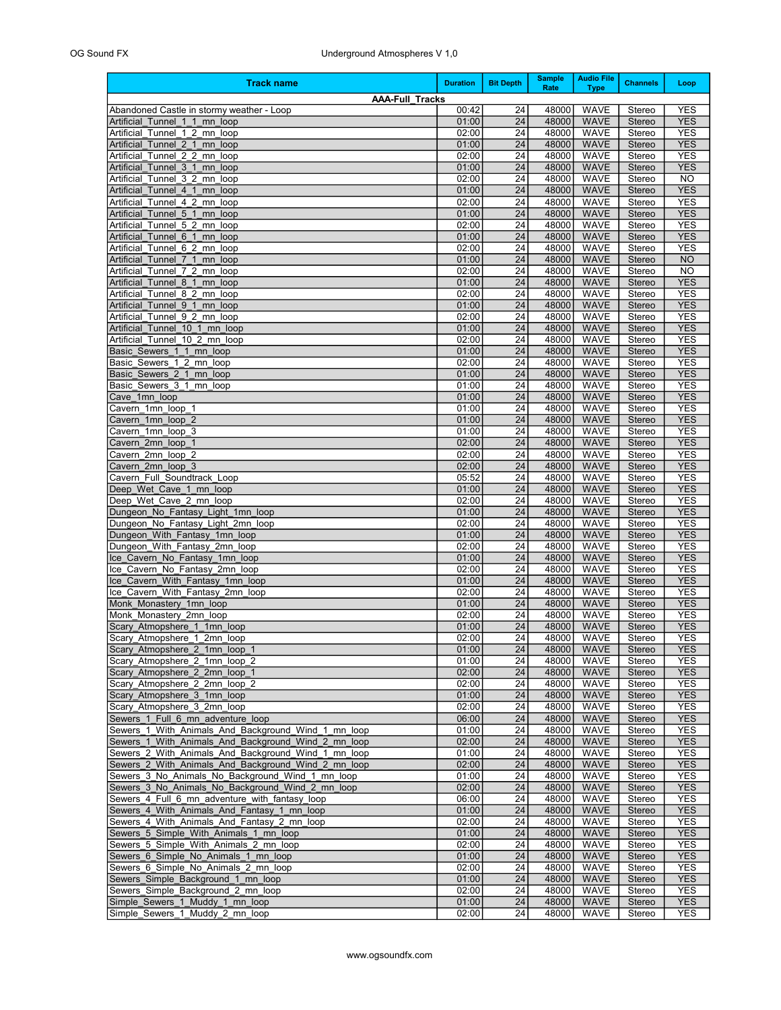| <b>Track name</b>                                                                                    | <b>Duration</b> | <b>Bit Depth</b> | <b>Sample</b><br>Rate | <b>Audio File</b><br><b>Type</b> | <b>Channels</b>  | Loop                     |
|------------------------------------------------------------------------------------------------------|-----------------|------------------|-----------------------|----------------------------------|------------------|--------------------------|
| <b>AAA-Full Tracks</b>                                                                               |                 |                  |                       |                                  |                  |                          |
| Abandoned Castle in stormy weather - Loop                                                            | 00:42           | 24               | 48000                 | <b>WAVE</b>                      | Stereo           | <b>YES</b>               |
| Artificial Tunnel 1 1 mn loop                                                                        | 01:00<br>02:00  | 24<br>24         | 48000<br>48000        | <b>WAVE</b><br><b>WAVE</b>       | Stereo<br>Stereo | <b>YES</b><br><b>YES</b> |
| Artificial Tunnel 1 2 mn loop<br>Artificial Tunnel 2 1 mn loop                                       | 01:00           | 24               | 48000                 | <b>WAVE</b>                      | <b>Stereo</b>    | <b>YES</b>               |
| Tunnel 2 2 mn loop<br>Artificial                                                                     | 02:00           | 24               | 48000                 | <b>WAVE</b>                      | Stereo           | <b>YES</b>               |
| Artificial Tunnel 3 1 mn loop                                                                        | 01:00           | 24               | 48000                 | <b>WAVE</b>                      | Stereo           | <b>YES</b>               |
| Tunnel 3 2 mn loop<br>Artificial                                                                     | 02:00           | 24               | 48000                 | <b>WAVE</b>                      | Stereo           | <b>NO</b>                |
| Artificial Tunnel 4 1 mn loop                                                                        | 01:00           | 24               | 48000                 | <b>WAVE</b>                      | <b>Stereo</b>    | <b>YES</b>               |
| Tunnel 4 2 mn loop<br>Artificial<br>Artificial Tunnel 5 1 mn loop                                    | 02:00<br>01:00  | 24<br>24         | 48000<br>48000        | <b>WAVE</b><br><b>WAVE</b>       | Stereo<br>Stereo | <b>YES</b><br><b>YES</b> |
| Tunnel 5 2 mn loop<br>Artificial                                                                     | 02:00           | 24               | 48000                 | <b>WAVE</b>                      | Stereo           | <b>YES</b>               |
| Artificial<br>Tunnel 6 1 mn loop                                                                     | 01:00           | 24               | 48000                 | <b>WAVE</b>                      | <b>Stereo</b>    | <b>YES</b>               |
| Tunnel 6 2 mn loop<br>Artificial                                                                     | 02:00           | 24               | 48000                 | <b>WAVE</b>                      | Stereo           | <b>YES</b>               |
| Artificial Tunnel 7 1 mn loop                                                                        | 01:00           | 24               | 48000                 | <b>WAVE</b>                      | Stereo           | <b>NO</b>                |
| Artificial<br>Tunnel 7 2 mn loop                                                                     | 02:00           | 24               | 48000                 | <b>WAVE</b>                      | Stereo           | <b>NO</b>                |
| Artificial Tunnel 8 1 mn loop<br>Tunnel 8 2 mn<br>Artificial<br>loop                                 | 01:00<br>02:00  | 24<br>24         | 48000<br>48000        | <b>WAVE</b><br><b>WAVE</b>       | Stereo<br>Stereo | <b>YES</b><br><b>YES</b> |
| Artificial Tunnel 9 1 mn loop                                                                        | 01:00           | 24               | 48000                 | <b>WAVE</b>                      | Stereo           | <b>YES</b>               |
| Tunnel 9 2 mn loop<br>Artificial                                                                     | 02:00           | 24               | 48000                 | <b>WAVE</b>                      | Stereo           | <b>YES</b>               |
| Artificial Tunnel 10 1 mn loop                                                                       | 01:00           | 24               | 48000                 | <b>WAVE</b>                      | Stereo           | <b>YES</b>               |
| Artificial Tunnel 10 2 mn loop                                                                       | 02:00           | 24               | 48000                 | <b>WAVE</b>                      | Stereo           | <b>YES</b>               |
| Basic Sewers 1 1 mn loop                                                                             | 01:00           | 24               | 48000                 | <b>WAVE</b>                      | Stereo           | <b>YES</b>               |
| Basic Sewers 1 2 mn loop<br>Basic Sewers 2 1 mn loop                                                 | 02:00<br>01:00  | 24<br>24         | 48000<br>48000        | <b>WAVE</b><br><b>WAVE</b>       | Stereo<br>Stereo | <b>YES</b><br><b>YES</b> |
| Basic Sewers 3 1 mn loop                                                                             | 01:00           | 24               | 48000                 | <b>WAVE</b>                      | Stereo           | <b>YES</b>               |
| Cave 1mn loop                                                                                        | 01:00           | 24               | 48000                 | <b>WAVE</b>                      | Stereo           | <b>YES</b>               |
| Cavern 1mn loop 1                                                                                    | 01:00           | 24               | 48000                 | <b>WAVE</b>                      | Stereo           | <b>YES</b>               |
| Cavern 1mn loop 2                                                                                    | 01:00           | 24               | 48000                 | <b>WAVE</b>                      | Stereo           | <b>YES</b>               |
| Cavern 1mn loop 3                                                                                    | 01:00           | 24               | 48000                 | <b>WAVE</b>                      | Stereo           | <b>YES</b>               |
| Cavern 2mn loop 1                                                                                    | 02:00           | 24               | 48000                 | <b>WAVE</b>                      | Stereo           | <b>YES</b>               |
| Cavern 2mn loop 2<br>Cavern 2mn loop 3                                                               | 02:00<br>02:00  | 24<br>24         | 48000<br>48000        | <b>WAVE</b><br><b>WAVE</b>       | Stereo<br>Stereo | <b>YES</b><br><b>YES</b> |
| Cavern Full Soundtrack Loop                                                                          | 05:52           | 24               | 48000                 | <b>WAVE</b>                      | Stereo           | <b>YES</b>               |
| Deep Wet Cave 1 mn loop                                                                              | 01:00           | 24               | 48000                 | <b>WAVE</b>                      | Stereo           | <b>YES</b>               |
| Deep Wet Cave 2 mn loop                                                                              | 02:00           | 24               | 48000                 | <b>WAVE</b>                      | Stereo           | <b>YES</b>               |
| Dungeon_No_Fantasy_Light_1mn_loop                                                                    | 01:00           | 24               | 48000                 | <b>WAVE</b>                      | Stereo           | <b>YES</b>               |
| Dungeon_No_Fantasy_Light_2mn_loop                                                                    | 02:00<br>01:00  | 24<br>24         | 48000<br>48000        | <b>WAVE</b><br><b>WAVE</b>       | Stereo<br>Stereo | <b>YES</b><br><b>YES</b> |
| Dungeon_With_Fantasy_1mn_loop<br>Dungeon With Fantasy 2mn loop                                       | 02:00           | 24               | 48000                 | <b>WAVE</b>                      | Stereo           | <b>YES</b>               |
| Ice_Cavern_No_Fantasy_1mn_loop                                                                       | 01:00           | 24               | 48000                 | <b>WAVE</b>                      | Stereo           | <b>YES</b>               |
| Ice Cavern No Fantasy 2mn loop                                                                       | 02:00           | 24               | 48000                 | <b>WAVE</b>                      | Stereo           | <b>YES</b>               |
| Ice Cavern With Fantasy 1mn loop                                                                     | 01:00           | 24               | 48000                 | <b>WAVE</b>                      | Stereo           | <b>YES</b>               |
| Ice Cavern With Fantasy 2mn loop                                                                     | 02:00           | 24               | 48000                 | <b>WAVE</b>                      | Stereo           | <b>YES</b>               |
| Monk Monastery_1mn_loop<br>Monk_Monastery_2mn_loop                                                   | 01:00<br>02:00  | 24<br>24         | 48000<br>48000        | <b>WAVE</b><br><b>WAVE</b>       | Stereo<br>Stereo | <b>YES</b><br><b>YES</b> |
| Scary Atmopshere 1 1mn loop                                                                          | 01:00           | 24               | 48000                 | <b>WAVE</b>                      | Stereo           | <b>YES</b>               |
| Scary Atmopshere 1 2mn loop                                                                          | 02:00           | 24               | 48000                 | <b>WAVE</b>                      | Stereo           | <b>YES</b>               |
| Scary_Atmopshere_2_1mn_loop_1                                                                        | 01:00           | $\overline{24}$  | 48000                 | <b>WAVE</b>                      | Stereo           | <b>YES</b>               |
| Scary Atmopshere 2 1mn loop 2                                                                        | 01:00           | 24               | 48000                 | <b>WAVE</b>                      | Stereo           | <b>YES</b>               |
| Scary Atmopshere 2 2mn loop 1                                                                        | 02:00           | 24               | 48000                 | <b>WAVE</b>                      | Stereo           | <b>YES</b>               |
| Scary Atmopshere 2 2mn loop 2                                                                        | 02:00<br>01:00  | 24<br>24         | 48000<br>48000        | WAVE                             | Stereo           | <b>YES</b><br><b>YES</b> |
| Scary Atmopshere 3_1mn_loop<br>Scary Atmopshere 3 2mn loop                                           | 02:00           | 24               | 48000                 | <b>WAVE</b><br><b>WAVE</b>       | Stereo<br>Stereo | <b>YES</b>               |
| Sewers 1 Full 6 mn adventure loop                                                                    | 06:00           | 24               | 48000                 | <b>WAVE</b>                      | Stereo           | <b>YES</b>               |
| Sewers 1 With Animals And Background Wind 1 mn loop                                                  | 01:00           | 24               | 48000                 | <b>WAVE</b>                      | Stereo           | <b>YES</b>               |
| Sewers 1 With Animals And Background Wind 2 mn loop                                                  | 02:00           | 24               | 48000                 | <b>WAVE</b>                      | Stereo           | <b>YES</b>               |
| Sewers 2 With Animals And Background Wind 1 mn loop                                                  | 01:00           | 24               | 48000                 | <b>WAVE</b>                      | Stereo           | <b>YES</b>               |
| Sewers 2 With Animals And Background Wind 2 mn loop                                                  | 02:00           | 24               | 48000                 | <b>WAVE</b>                      | Stereo           | <b>YES</b>               |
| Sewers 3 No Animals No Background Wind 1 mn loop<br>Sewers 3 No Animals No Background Wind 2 mn loop | 01:00<br>02:00  | 24<br>24         | 48000<br>48000        | <b>WAVE</b><br><b>WAVE</b>       | Stereo<br>Stereo | <b>YES</b><br><b>YES</b> |
| Sewers 4 Full 6 mn adventure with fantasy loop                                                       | 06:00           | 24               | 48000                 | <b>WAVE</b>                      | Stereo           | <b>YES</b>               |
| Sewers 4 With Animals And Fantasy 1 mn loop                                                          | 01:00           | 24               | 48000                 | <b>WAVE</b>                      | Stereo           | <b>YES</b>               |
| Sewers 4 With Animals And Fantasy 2 mn loop                                                          | 02:00           | 24               | 48000                 | <b>WAVE</b>                      | Stereo           | <b>YES</b>               |
| Sewers 5 Simple With Animals 1 mn loop                                                               | 01:00           | 24               | 48000                 | <b>WAVE</b>                      | Stereo           | <b>YES</b>               |
| Sewers 5 Simple With Animals 2 mn loop                                                               | 02:00           | 24               | 48000                 | <b>WAVE</b>                      | Stereo           | <b>YES</b>               |
| Sewers 6 Simple No Animals 1 mn loop                                                                 | 01:00           | 24               | 48000                 | <b>WAVE</b>                      | Stereo           | <b>YES</b>               |
| Sewers 6 Simple No Animals 2 mn loop<br>Sewers Simple Background 1 mn loop                           | 02:00<br>01:00  | 24<br>24         | 48000<br>48000        | <b>WAVE</b><br><b>WAVE</b>       | Stereo<br>Stereo | <b>YES</b><br><b>YES</b> |
| Sewers Simple Background 2 mn loop                                                                   | 02:00           | 24               | 48000                 | <b>WAVE</b>                      | Stereo           | <b>YES</b>               |
| Simple Sewers_1_Muddy_1_mn_loop                                                                      | 01:00           | 24               | 48000                 | <b>WAVE</b>                      | Stereo           | <b>YES</b>               |
| Simple Sewers 1 Muddy 2 mn loop                                                                      | 02:00           | 24               | 48000                 | WAVE                             | Stereo           | <b>YES</b>               |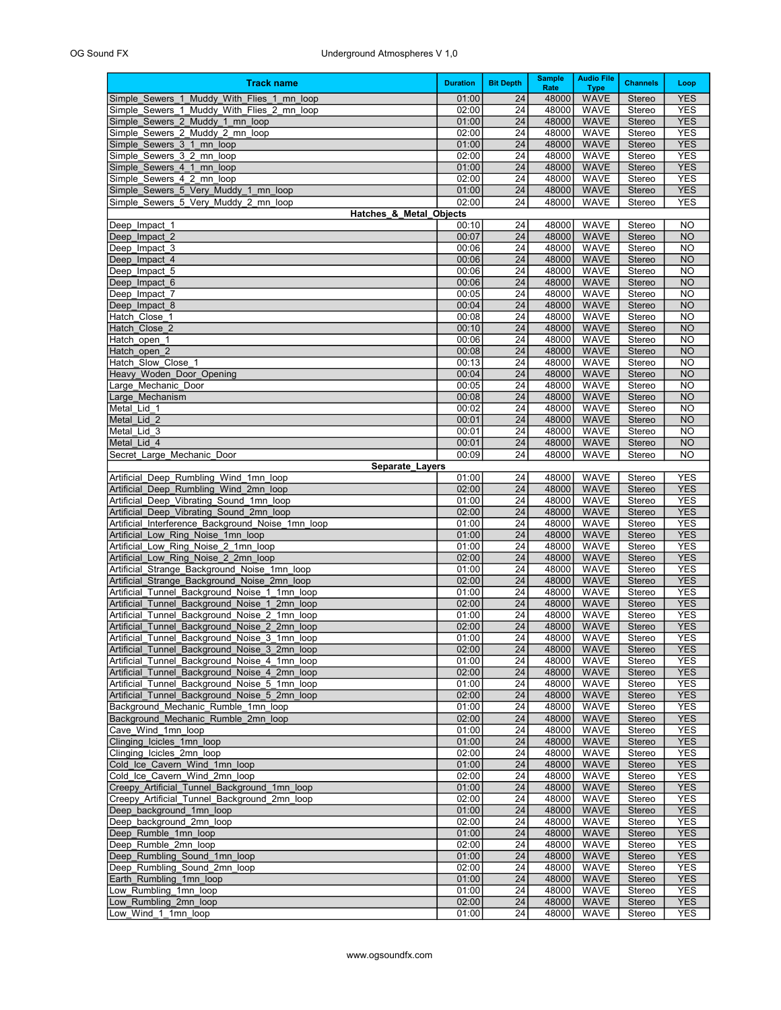## OG Sound FX Underground Atmospheres V 1,0

| <b>Track name</b>                                                                              | <b>Duration</b> | <b>Bit Depth</b> | <b>Sample</b><br>Rate | <b>Audio File</b><br><b>Type</b> | <b>Channels</b>  | Loop                     |
|------------------------------------------------------------------------------------------------|-----------------|------------------|-----------------------|----------------------------------|------------------|--------------------------|
| Simple Sewers 1 Muddy With Flies 1 mn loop                                                     | 01:00           | 24               | 48000                 | <b>WAVE</b>                      | Stereo           | <b>YES</b>               |
| Simple Sewers 1 Muddy With Flies 2 mn loop                                                     | 02:00           | 24               | 48000                 | <b>WAVE</b>                      | Stereo           | <b>YES</b>               |
| Simple Sewers 2 Muddy 1 mn loop                                                                | 01:00           | 24               | 48000                 | <b>WAVE</b>                      | Stereo           | <b>YES</b>               |
| Simple Sewers 2 Muddy 2 mn loop                                                                | 02:00           | 24               | 48000                 | <b>WAVE</b>                      | Stereo           | <b>YES</b>               |
| Simple Sewers 3 1 mn loop                                                                      | 01:00           | 24               | 48000                 | <b>WAVE</b>                      | Stereo           | <b>YES</b>               |
| Simple Sewers 3 2 mn loop<br>Simple Sewers 4 1 mn loop                                         | 02:00<br>01:00  | 24<br>24         | 48000<br>48000        | <b>WAVE</b><br><b>WAVE</b>       | Stereo<br>Stereo | YES<br><b>YES</b>        |
| Simple Sewers 4 2 mn loop                                                                      | 02:00           | 24               | 48000                 | <b>WAVE</b>                      | Stereo           | YES                      |
| Simple Sewers 5 Very Muddy 1 mn loop                                                           | 01:00           | 24               | 48000                 | <b>WAVE</b>                      | Stereo           | <b>YES</b>               |
| Simple Sewers 5 Very Muddy 2 mn loop                                                           | 02:00           | 24               | 48000                 | <b>WAVE</b>                      | Stereo           | <b>YES</b>               |
| Hatches & Metal Objects                                                                        |                 |                  |                       |                                  |                  |                          |
| Deep Impact 1                                                                                  | 00:10           | 24               | 48000                 | <b>WAVE</b>                      | Stereo           | NO                       |
| Deep Impact 2                                                                                  | 00:07           | 24               | 48000                 | <b>WAVE</b>                      | Stereo           | <b>NO</b>                |
| Deep Impact 3                                                                                  | 00:06           | 24               | 48000                 | <b>WAVE</b>                      | Stereo           | NO                       |
| Deep Impact 4<br>Deep Impact 5                                                                 | 00:06<br>00:06  | 24<br>24         | 48000<br>48000        | <b>WAVE</b><br><b>WAVE</b>       | Stereo<br>Stereo | <b>NO</b><br>NO          |
| Deep Impact 6                                                                                  | 00:06           | 24               | 48000                 | <b>WAVE</b>                      | Stereo           | <b>NO</b>                |
| Deep Impact 7                                                                                  | 00:05           | 24               | 48000                 | <b>WAVE</b>                      | Stereo           | NO                       |
| Deep Impact 8                                                                                  | 00:04           | 24               | 48000                 | <b>WAVE</b>                      | Stereo           | <b>NO</b>                |
| Hatch Close 1                                                                                  | 00:08           | 24               | 48000                 | <b>WAVE</b>                      | Stereo           | NO                       |
| Hatch Close 2                                                                                  | 00:10           | 24               | 48000                 | <b>WAVE</b>                      | Stereo           | <b>NO</b>                |
| Hatch open 1                                                                                   | 00:06           | 24               | 48000                 | <b>WAVE</b>                      | Stereo           | NO                       |
| Hatch open 2                                                                                   | 00:08           | 24               | 48000                 | <b>WAVE</b><br><b>WAVE</b>       | Stereo           | <b>NO</b>                |
| Hatch Slow Close 1<br>Heavy Woden Door Opening                                                 | 00:13<br>00:04  | 24<br>24         | 48000<br>48000        | <b>WAVE</b>                      | Stereo<br>Stereo | <b>NO</b><br><b>NO</b>   |
| Large Mechanic Door                                                                            | 00:05           | 24               | 48000                 | <b>WAVE</b>                      | Stereo           | <b>NO</b>                |
| Large Mechanism                                                                                | 00:08           | 24               | 48000                 | <b>WAVE</b>                      | Stereo           | <b>NO</b>                |
| Metal Lid 1                                                                                    | 00:02           | 24               | 48000                 | <b>WAVE</b>                      | Stereo           | <b>NO</b>                |
| Metal Lid 2                                                                                    | 00:01           | 24               | 48000                 | <b>WAVE</b>                      | <b>Stereo</b>    | <b>NO</b>                |
| Metal Lid 3                                                                                    | 00:01           | 24               | 48000                 | <b>WAVE</b>                      | Stereo           | <b>NO</b>                |
| Metal Lid 4                                                                                    | 00:01           | 24               | 48000                 | <b>WAVE</b>                      | <b>Stereo</b>    | <b>NO</b>                |
| Secret Large Mechanic Door                                                                     | 00:09           | 24               | 48000                 | <b>WAVE</b>                      | Stereo           | <b>NO</b>                |
| Separate_Layers<br>Artificial Deep Rumbling Wind 1mn loop                                      | 01:00           | 24               | 48000                 | <b>WAVE</b>                      | Stereo           | YES                      |
| Artificial Deep Rumbling Wind 2mn loop                                                         | 02:00           | 24               | 48000                 | <b>WAVE</b>                      | Stereo           | <b>YES</b>               |
| Artificial Deep Vibrating Sound 1mn loop                                                       | 01:00           | 24               | 48000                 | <b>WAVE</b>                      | Stereo           | <b>YES</b>               |
| Artificial Deep Vibrating Sound 2mn loop                                                       | 02:00           | 24               | 48000                 | <b>WAVE</b>                      | Stereo           | <b>YES</b>               |
| Artificial Interference Background Noise 1mn loop                                              | 01:00           | 24               | 48000                 | <b>WAVE</b>                      | Stereo           | <b>YES</b>               |
| Artificial Low Ring Noise 1mn loop                                                             | 01:00           | 24               | 48000                 | <b>WAVE</b>                      | Stereo           | <b>YES</b>               |
| Artificial Low Ring Noise 2 1mn loop                                                           | 01:00           | 24               | 48000                 | <b>WAVE</b>                      | Stereo           | <b>YES</b>               |
| Artificial Low Ring Noise 2 2mn loop                                                           | 02:00<br>01:00  | 24<br>24         | 48000<br>48000        | <b>WAVE</b><br><b>WAVE</b>       | Stereo           | <b>YES</b><br><b>YES</b> |
| Artificial Strange Background Noise 1mn loop<br>Artificial Strange Background Noise 2mn loop   | 02:00           | 24               | 48000                 | <b>WAVE</b>                      | Stereo<br>Stereo | <b>YES</b>               |
| Artificial Tunnel Background Noise 1 1mn loop                                                  | 01:00           | 24               | 48000                 | <b>WAVE</b>                      | Stereo           | <b>YES</b>               |
| Artificial Tunnel Background Noise 1 2mn loop                                                  | 02:00           | 24               | 48000                 | <b>WAVE</b>                      | Stereo           | <b>YES</b>               |
| Artificial<br>Tunnel Background Noise 2 1mn loop                                               | 01:00           | 24               | 48000                 | <b>WAVE</b>                      | Stereo           | <b>YES</b>               |
| Artificial_Tunnel_Background_Noise_2_2mn_loop                                                  | 02:00           | 24               | 48000                 | <b>WAVE</b>                      | Stereo           | <b>YES</b>               |
| Artificial Tunnel Background Noise 3 1mn loop                                                  | 01:00           | 24               | 48000                 | <b>WAVE</b>                      | Stereo           | <b>YES</b>               |
| Artificial Tunnel Background Noise 3 2mn loop                                                  | 02:00           | 24               | 48000                 | <b>WAVE</b>                      | <b>Stereo</b>    | <b>YES</b>               |
| Artificial Tunnel Background Noise 4 1mn loop<br>Artificial Tunnel Background Noise 4 2mn loop | 01:00<br>02:00  | 24<br>24         | 48000<br>48000        | WAVE<br><b>WAVE</b>              | Stereo<br>Stereo | <b>YES</b><br><b>YES</b> |
| Artificial Tunnel Background Noise 5 1mn loop                                                  | 01:00           | 24               | 48000                 | WAVE                             | Stereo           | <b>YES</b>               |
| Artificial Tunnel Background Noise 5 2mn loop                                                  | 02:00           | 24               | 48000                 | <b>WAVE</b>                      | Stereo           | <b>YES</b>               |
| Background Mechanic Rumble 1mn loop                                                            | 01:00           | 24               | 48000                 | WAVE                             | Stereo           | YES                      |
| Background Mechanic Rumble 2mn loop                                                            | 02:00           | 24               | 48000                 | <b>WAVE</b>                      | Stereo           | <b>YES</b>               |
| Cave Wind 1mn loop                                                                             | 01:00           | 24               | 48000                 | <b>WAVE</b>                      | Stereo           | YES                      |
| Clinging_Icicles_1mn_loop                                                                      | 01:00           | 24               | 48000                 | <b>WAVE</b>                      | Stereo           | <b>YES</b>               |
| Clinging_Icicles_2mn_Ioop                                                                      | 02:00           | 24               | 48000                 | <b>WAVE</b>                      | Stereo           | <b>YES</b>               |
| Cold Ice Cavern Wind 1mn loop<br>Cold Ice Cavern Wind 2mn loop                                 | 01:00<br>02:00  | 24<br>24         | 48000<br>48000        | <b>WAVE</b><br><b>WAVE</b>       | Stereo<br>Stereo | <b>YES</b><br>YES        |
| Creepy Artificial Tunnel Background 1mn loop                                                   | 01:00           | 24               | 48000                 | <b>WAVE</b>                      | Stereo           | <b>YES</b>               |
| Creepy Artificial Tunnel Background 2mn loop                                                   | 02:00           | 24               | 48000                 | WAVE                             | Stereo           | YES                      |
| Deep background 1mn loop                                                                       | 01:00           | 24               | 48000                 | <b>WAVE</b>                      | Stereo           | <b>YES</b>               |
| Deep background 2mn loop                                                                       | 02:00           | 24               | 48000                 | <b>WAVE</b>                      | Stereo           | YES                      |
| Deep Rumble 1mn loop                                                                           | 01:00           | 24               | 48000                 | <b>WAVE</b>                      | Stereo           | <b>YES</b>               |
| Deep Rumble 2mn loop                                                                           | 02:00           | 24               | 48000                 | WAVE                             | Stereo           | YES                      |
| Deep Rumbling Sound 1mn loop                                                                   | 01:00<br>02:00  | 24               | 48000                 | <b>WAVE</b>                      | Stereo           | <b>YES</b>               |
| Deep_Rumbling_Sound_2mn_loop<br>Earth Rumbling 1mn loop                                        | 01:00           | 24<br>24         | 48000<br>48000        | WAVE<br><b>WAVE</b>              | Stereo<br>Stereo | YES<br><b>YES</b>        |
| Low Rumbling 1mn loop                                                                          | 01:00           | 24               | 48000                 | WAVE                             | Stereo           | YES                      |
| Low Rumbling 2mn loop                                                                          | 02:00           | 24               | 48000                 | <b>WAVE</b>                      | Stereo           | <b>YES</b>               |
| Low Wind 1 1mn loop                                                                            | 01:00           | 24               | 48000                 | WAVE                             | Stereo           | YES                      |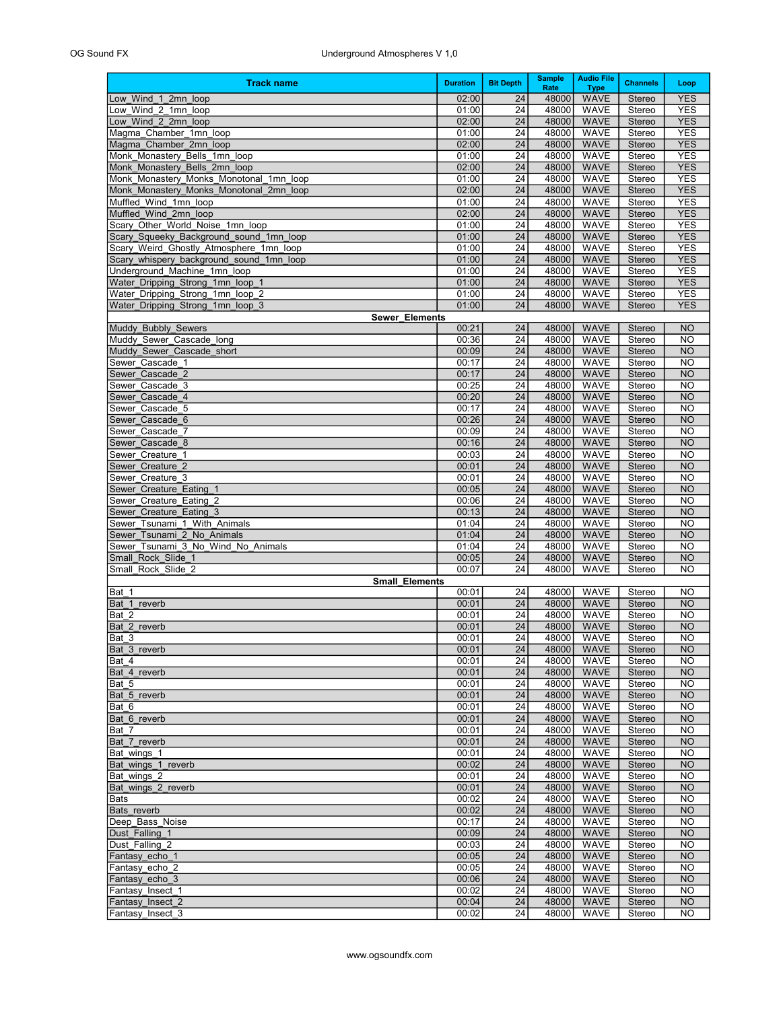| <b>Track name</b>                                                        | <b>Duration</b> | <b>Bit Depth</b> | <b>Sample</b><br>Rate | <b>Audio File</b><br><b>Type</b> | <b>Channels</b>         | Loop                     |
|--------------------------------------------------------------------------|-----------------|------------------|-----------------------|----------------------------------|-------------------------|--------------------------|
| Low Wind 1 2mn loop                                                      | 02:00           | 24               | 48000                 | <b>WAVE</b>                      | Stereo                  | <b>YES</b>               |
| Low Wind 2 1mn loop                                                      | 01:00           | 24               | 48000                 | <b>WAVE</b>                      | Stereo                  | <b>YES</b>               |
| Low Wind 2 2mn loop                                                      | 02:00           | 24               | 48000                 | <b>WAVE</b>                      | <b>Stereo</b>           | <b>YES</b>               |
| Magma Chamber 1mn loop                                                   | 01:00           | 24               | 48000                 | <b>WAVE</b>                      | Stereo                  | <b>YES</b>               |
| Magma Chamber 2mn loop                                                   | 02:00           | 24               | 48000                 | <b>WAVE</b>                      | <b>Stereo</b>           | <b>YES</b>               |
| Monk Monastery Bells 1mn loop                                            | 01:00           | 24               | 48000                 | <b>WAVE</b><br><b>WAVE</b>       | Stereo                  | <b>YES</b><br><b>YES</b> |
| Monk Monastery Bells 2mn loop<br>Monk Monastery Monks Monotonal 1mn loop | 02:00<br>01:00  | 24<br>24         | 48000<br>48000        | <b>WAVE</b>                      | <b>Stereo</b><br>Stereo | <b>YES</b>               |
| Monk Monastery Monks Monotonal 2mn loop                                  | 02:00           | 24               | 48000                 | <b>WAVE</b>                      | <b>Stereo</b>           | <b>YES</b>               |
| Muffled Wind 1mn loop                                                    | 01:00           | 24               | 48000                 | <b>WAVE</b>                      | Stereo                  | <b>YES</b>               |
| Muffled Wind 2mn loop                                                    | 02:00           | 24               | 48000                 | <b>WAVE</b>                      | <b>Stereo</b>           | <b>YES</b>               |
| Scary Other World Noise 1mn loop                                         | 01:00           | 24               | 48000                 | <b>WAVE</b>                      | Stereo                  | <b>YES</b>               |
| Scary_Squeeky_Background_sound_1mn_loop                                  | 01:00           | 24               | 48000                 | <b>WAVE</b>                      | <b>Stereo</b>           | <b>YES</b>               |
| Scary Weird Ghostly Atmosphere 1mn loop                                  | 01:00           | 24               | 48000                 | <b>WAVE</b>                      | Stereo                  | <b>YES</b>               |
| Scary_whispery_background_sound_1mn_loop<br>Underground Machine 1mn loop | 01:00<br>01:00  | 24<br>24         | 48000<br>48000        | <b>WAVE</b><br><b>WAVE</b>       | <b>Stereo</b><br>Stereo | <b>YES</b><br><b>YES</b> |
| Water_Dripping_Strong_1mn_loop_1                                         | 01:00           | 24               | 48000                 | <b>WAVE</b>                      | <b>Stereo</b>           | <b>YES</b>               |
| Water Dripping Strong 1mn loop 2                                         | 01:00           | 24               | 48000                 | <b>WAVE</b>                      | Stereo                  | <b>YES</b>               |
| Water Dripping Strong 1mn loop 3                                         | 01:00           | 24               | 48000                 | <b>WAVE</b>                      | <b>Stereo</b>           | <b>YES</b>               |
| Sewer_Elements                                                           |                 |                  |                       |                                  |                         |                          |
| Muddy Bubbly Sewers                                                      | 00:21           | 24               | 48000                 | <b>WAVE</b>                      | <b>Stereo</b>           | <b>NO</b>                |
| Muddy Sewer Cascade long                                                 | 00:36           | 24               | 48000                 | <b>WAVE</b>                      | Stereo                  | <b>NO</b>                |
| Muddy Sewer Cascade short                                                | 00:09           | 24               | 48000                 | <b>WAVE</b>                      | <b>Stereo</b>           | <b>NO</b>                |
| Sewer Cascade 1                                                          | 00:17           | 24               | 48000                 | <b>WAVE</b>                      | Stereo<br><b>Stereo</b> | <b>NO</b>                |
| Sewer Cascade 2<br>Sewer Cascade 3                                       | 00:17<br>00:25  | 24<br>24         | 48000<br>48000        | <b>WAVE</b><br><b>WAVE</b>       | Stereo                  | <b>NO</b><br><b>NO</b>   |
| Sewer Cascade 4                                                          | 00:20           | 24               | 48000                 | <b>WAVE</b>                      | <b>Stereo</b>           | <b>NO</b>                |
| Sewer Cascade 5                                                          | 00:17           | 24               | 48000                 | <b>WAVE</b>                      | Stereo                  | <b>NO</b>                |
| Sewer Cascade 6                                                          | 00:26           | 24               | 48000                 | <b>WAVE</b>                      | <b>Stereo</b>           | <b>NO</b>                |
| Sewer Cascade 7                                                          | 00:09           | 24               | 48000                 | <b>WAVE</b>                      | Stereo                  | <b>NO</b>                |
| Sewer Cascade 8                                                          | 00:16           | 24               | 48000                 | <b>WAVE</b>                      | <b>Stereo</b>           | <b>NO</b>                |
| Sewer Creature 1                                                         | 00:03           | 24               | 48000                 | <b>WAVE</b>                      | Stereo                  | <b>NO</b>                |
| Sewer Creature 2                                                         | 00:01           | 24               | 48000                 | <b>WAVE</b>                      | <b>Stereo</b>           | <b>NO</b>                |
| Sewer Creature 3<br>Sewer Creature Eating 1                              | 00:01<br>00:05  | 24<br>24         | 48000<br>48000        | <b>WAVE</b><br><b>WAVE</b>       | Stereo<br><b>Stereo</b> | <b>NO</b><br><b>NO</b>   |
| Sewer Creature Eating 2                                                  | 00:06           | 24               | 48000                 | <b>WAVE</b>                      | Stereo                  | <b>NO</b>                |
| Sewer Creature Eating 3                                                  | 00:13           | 24               | 48000                 | <b>WAVE</b>                      | <b>Stereo</b>           | <b>NO</b>                |
| Sewer Tsunami 1 With Animals                                             | 01:04           | 24               | 48000                 | <b>WAVE</b>                      | Stereo                  | <b>NO</b>                |
| Sewer Tsunami 2 No Animals                                               | 01:04           | 24               | 48000                 | <b>WAVE</b>                      | <b>Stereo</b>           | <b>NO</b>                |
| Sewer Tsunami 3 No Wind No Animals                                       | 01:04           | 24               | 48000                 | <b>WAVE</b>                      | Stereo                  | <b>NO</b>                |
| Small Rock Slide 1                                                       | 00:05           | 24               | 48000                 | <b>WAVE</b>                      | <b>Stereo</b>           | <b>NO</b>                |
| Small Rock Slide 2                                                       | 00:07           | 24               | 48000                 | <b>WAVE</b>                      | Stereo                  | NO                       |
| <b>Small_Elements</b><br>Bat 1                                           | 00:01           | 24               | 48000                 | <b>WAVE</b>                      | Stereo                  | <b>NO</b>                |
| Bat 1 reverb                                                             | 00:01           | 24               | 48000                 | <b>WAVE</b>                      | <b>Stereo</b>           | <b>NO</b>                |
| Bat 2                                                                    | 00:01           | 24               | 48000                 | <b>WAVE</b>                      | Stereo                  | <b>NO</b>                |
| Bat 2 reverb                                                             | 00:01           | 24               | 48000                 | <b>WAVE</b>                      | <b>Stereo</b>           | <b>NO</b>                |
| Bat 3                                                                    | 00:01           | 24               | 48000                 | <b>WAVE</b>                      | Stereo                  | <b>NO</b>                |
| Bat 3 reverb                                                             | 00:01           | 24               | 48000                 | <b>WAVE</b>                      | <b>Stereo</b>           | NO                       |
| Bat 4                                                                    | 00:01           | 24               | 48000                 | <b>WAVE</b>                      | Stereo                  | <b>NO</b>                |
| Bat 4 reverb<br>Bat 5                                                    | 00:01<br>00:01  | 24<br>24         | 48000<br>48000        | <b>WAVE</b><br><b>WAVE</b>       | <b>Stereo</b><br>Stereo | <b>NO</b><br><b>NO</b>   |
| Bat 5 reverb                                                             | 00:01           | 24               | 48000                 | <b>WAVE</b>                      | <b>Stereo</b>           | <b>NO</b>                |
| Bat 6                                                                    | 00:01           | 24               | 48000                 | <b>WAVE</b>                      | Stereo                  | <b>NO</b>                |
| Bat 6 reverb                                                             | 00:01           | 24               | 48000                 | <b>WAVE</b>                      | <b>Stereo</b>           | <b>NO</b>                |
| Bat 7                                                                    | 00:01           | 24               | 48000                 | <b>WAVE</b>                      | Stereo                  | <b>NO</b>                |
| Bat 7 reverb                                                             | 00:01           | 24               | 48000                 | <b>WAVE</b>                      | <b>Stereo</b>           | <b>NO</b>                |
| Bat wings 1                                                              | 00:01           | 24               | 48000                 | <b>WAVE</b>                      | Stereo                  | NO                       |
| Bat wings 1 reverb                                                       | 00:02           | 24               | 48000                 | <b>WAVE</b>                      | <b>Stereo</b>           | <b>NO</b>                |
| Bat wings 2<br>Bat wings 2 reverb                                        | 00:01<br>00:01  | 24<br>24         | 48000<br>48000        | <b>WAVE</b><br><b>WAVE</b>       | Stereo<br><b>Stereo</b> | NO<br><b>NO</b>          |
| Bats                                                                     | 00:02           | 24               | 48000                 | <b>WAVE</b>                      | Stereo                  | <b>NO</b>                |
| Bats reverb                                                              | 00:02           | 24               | 48000                 | <b>WAVE</b>                      | <b>Stereo</b>           | <b>NO</b>                |
| Deep Bass Noise                                                          | 00:17           | 24               | 48000                 | <b>WAVE</b>                      | Stereo                  | NO.                      |
| Dust Falling 1                                                           | 00:09           | 24               | 48000                 | <b>WAVE</b>                      | <b>Stereo</b>           | <b>NO</b>                |
| Dust Falling 2                                                           | 00:03           | 24               | 48000                 | <b>WAVE</b>                      | Stereo                  | NO.                      |
| Fantasy echo 1                                                           | 00:05           | 24               | 48000                 | <b>WAVE</b>                      | <b>Stereo</b>           | <b>NO</b>                |
| Fantasy echo 2                                                           | 00:05           | 24               | 48000                 | <b>WAVE</b>                      | Stereo                  | NO.                      |
| Fantasy echo 3<br>Fantasy Insect 1                                       | 00:06<br>00:02  | 24<br>24         | 48000<br>48000        | <b>WAVE</b><br><b>WAVE</b>       | <b>Stereo</b><br>Stereo | <b>NO</b><br>NO          |
| Fantasy Insect 2                                                         | 00:04           | 24               | 48000                 | <b>WAVE</b>                      | <b>Stereo</b>           | <b>NO</b>                |
| Fantasy Insect 3                                                         | 00:02           | 24               | 48000                 | <b>WAVE</b>                      | Stereo                  | NO                       |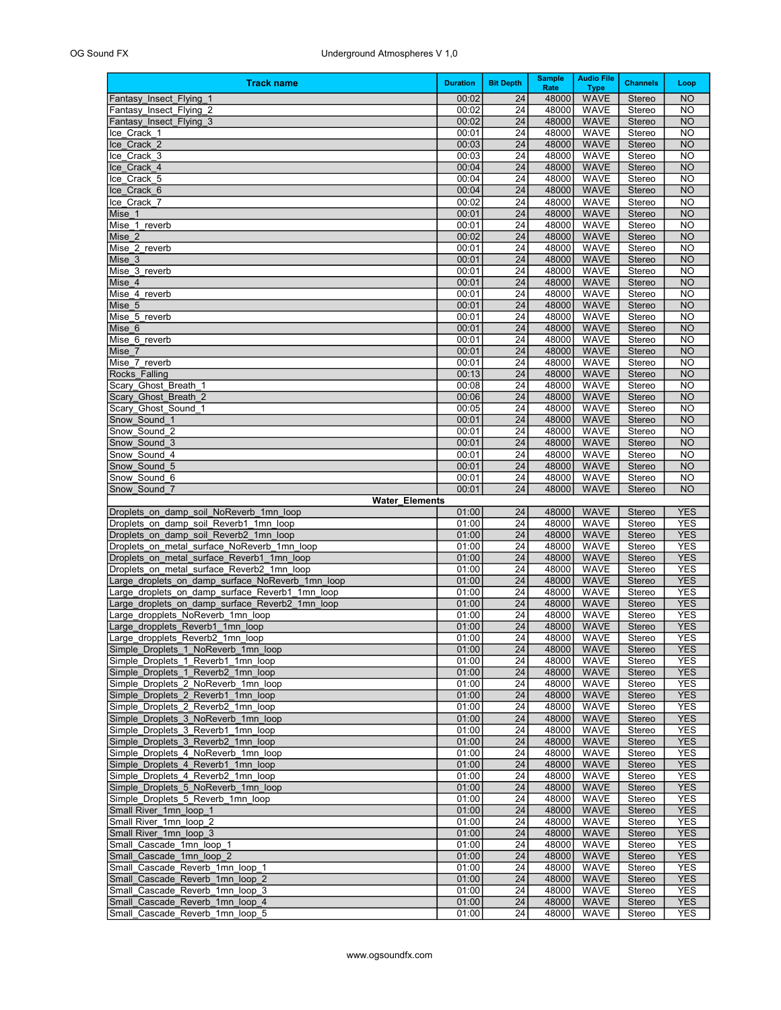| <b>Track name</b>                                                                        | <b>Duration</b> | <b>Bit Depth</b>                   | <b>Sample</b><br>Rate | <b>Audio File</b><br><b>Type</b> | <b>Channels</b>         | Loop                     |
|------------------------------------------------------------------------------------------|-----------------|------------------------------------|-----------------------|----------------------------------|-------------------------|--------------------------|
| Fantasy Insect Flying 1                                                                  | 00:02           | 24                                 | 48000                 | <b>WAVE</b>                      | <b>Stereo</b>           | <b>NO</b>                |
| Fantasy Insect Flying 2                                                                  | 00:02           | 24                                 | 48000                 | <b>WAVE</b>                      | Stereo                  | <b>NO</b>                |
| Fantasy Insect Flying 3                                                                  | 00:02           | 24<br>$\overline{24}$              | 48000<br>48000        | <b>WAVE</b>                      | <b>Stereo</b>           | <b>NO</b><br><b>NO</b>   |
| Ice Crack 1<br>Ice Crack 2                                                               | 00:01<br>00:03  | $\overline{24}$                    | 48000                 | WAVE<br><b>WAVE</b>              | Stereo<br>Stereo        | <b>NO</b>                |
| Ice Crack 3                                                                              | 00:03           | 24                                 | 48000                 | <b>WAVE</b>                      | Stereo                  | <b>NO</b>                |
| Ice Crack 4                                                                              | 00:04           | $\overline{24}$                    | 48000                 | <b>WAVE</b>                      | Stereo                  | <b>NO</b>                |
| Ice Crack 5                                                                              | 00:04           | $\overline{24}$                    | 48000                 | WAVE                             | Stereo                  | <b>NO</b>                |
| Ice Crack 6                                                                              | 00:04           | $\overline{24}$                    | 48000                 | <b>WAVE</b>                      | Stereo                  | <b>NO</b>                |
| Ice Crack 7<br>Mise 1                                                                    | 00:02<br>00:01  | 24<br>24                           | 48000<br>48000        | <b>WAVE</b><br><b>WAVE</b>       | Stereo<br>Stereo        | <b>NO</b><br><b>NO</b>   |
| Mise 1 reverb                                                                            | 00:01           | 24                                 | 48000                 | <b>WAVE</b>                      | Stereo                  | <b>NO</b>                |
| Mise 2                                                                                   | 00:02           | $\overline{24}$                    | 48000                 | <b>WAVE</b>                      | Stereo                  | <b>NO</b>                |
| Mise_2_reverb                                                                            | 00:01           | 24                                 | 48000                 | <b>WAVE</b>                      | Stereo                  | <b>NO</b>                |
| Mise 3                                                                                   | 00:01           | 24                                 | 48000                 | <b>WAVE</b>                      | Stereo                  | <b>NO</b>                |
| Mise 3 reverb<br>Mise 4                                                                  | 00:01<br>00:01  | $\overline{24}$<br>$\overline{24}$ | 48000<br>48000        | <b>WAVE</b><br><b>WAVE</b>       | Stereo<br>Stereo        | <b>NO</b><br><b>NO</b>   |
| Mise 4 reverb                                                                            | 00:01           | 24                                 | 48000                 | <b>WAVE</b>                      | Stereo                  | <b>NO</b>                |
| Mise 5                                                                                   | 00:01           | 24                                 | 48000                 | <b>WAVE</b>                      | Stereo                  | <b>NO</b>                |
| Mise 5 reverb                                                                            | 00:01           | $\overline{24}$                    | 48000                 | <b>WAVE</b>                      | Stereo                  | <b>NO</b>                |
| Mise 6                                                                                   | 00:01           | 24                                 | 48000                 | <b>WAVE</b>                      | Stereo                  | <b>NO</b>                |
| Mise 6 reverb                                                                            | 00:01           | 24                                 | 48000                 | <b>WAVE</b>                      | Stereo                  | <b>NO</b>                |
| Mise 7<br>Mise 7 reverb                                                                  | 00:01<br>00:01  | 24<br>24                           | 48000<br>48000        | <b>WAVE</b><br><b>WAVE</b>       | Stereo<br>Stereo        | <b>NO</b><br><b>NO</b>   |
| Rocks Falling                                                                            | 00:13           | $\overline{24}$                    | 48000                 | <b>WAVE</b>                      | Stereo                  | <b>NO</b>                |
| Scary Ghost Breath 1                                                                     | 00:08           | 24                                 | 48000                 | <b>WAVE</b>                      | Stereo                  | <b>NO</b>                |
| Scary Ghost Breath 2                                                                     | 00:06           | 24                                 | 48000                 | <b>WAVE</b>                      | Stereo                  | <b>NO</b>                |
| Scary Ghost Sound 1                                                                      | 00:05           | 24                                 | 48000                 | <b>WAVE</b>                      | Stereo                  | <b>NO</b>                |
| Snow Sound 1<br>Snow Sound 2                                                             | 00:01<br>00:01  | $\overline{24}$<br>24              | 48000<br>48000        | <b>WAVE</b><br><b>WAVE</b>       | Stereo<br>Stereo        | <b>NO</b><br><b>NO</b>   |
| Snow Sound 3                                                                             | 00:01           | 24                                 | 48000                 | <b>WAVE</b>                      | Stereo                  | <b>NO</b>                |
| Snow Sound 4                                                                             | 00:01           | $\overline{24}$                    | 48000                 | <b>WAVE</b>                      | Stereo                  | <b>NO</b>                |
| Snow Sound 5                                                                             | 00:01           | 24                                 | 48000                 | <b>WAVE</b>                      | Stereo                  | <b>NO</b>                |
| Snow Sound 6                                                                             | 00:01           | 24                                 | 48000                 | <b>WAVE</b>                      | Stereo                  | <b>NO</b>                |
| Snow Sound 7<br><b>Water_Elements</b>                                                    | 00:01           | 24                                 | 48000                 | <b>WAVE</b>                      | Stereo                  | <b>NO</b>                |
| Droplets on damp soil NoReverb 1mn loop                                                  | 01:00           | 24                                 | 48000                 | <b>WAVE</b>                      | <b>Stereo</b>           | <b>YES</b>               |
| Droplets on damp soil Reverb1 1mn loop                                                   | 01:00           | 24                                 | 48000                 | <b>WAVE</b>                      | Stereo                  | <b>YES</b>               |
| Droplets on damp soil Reverb2 1mn loop                                                   | 01:00           | 24                                 | 48000                 | <b>WAVE</b>                      | Stereo                  | <b>YES</b>               |
| Droplets on metal surface NoReverb 1mn loop                                              | 01:00           | 24                                 | 48000                 | <b>WAVE</b>                      | Stereo                  | <b>YES</b>               |
| Droplets on metal surface Reverb1 1mn loop<br>Droplets on metal surface Reverb2 1mn loop | 01:00<br>01:00  | 24<br>24                           | 48000<br>48000        | <b>WAVE</b><br>WAVE              | Stereo<br>Stereo        | <b>YES</b><br><b>YES</b> |
| Large droplets on damp surface NoReverb 1mn loop                                         | 01:00           | 24                                 | 48000                 | <b>WAVE</b>                      | <b>Stereo</b>           | <b>YES</b>               |
| Large droplets on damp surface Reverb1 1mn loop                                          | 01:00           | 24                                 | 48000                 | WAVE                             | Stereo                  | <b>YES</b>               |
| Large droplets_on_damp_surface_Reverb2_1mn_loop                                          | 01:00           | 24                                 | 48000                 | <b>WAVE</b>                      | <b>Stereo</b>           | <b>YES</b>               |
| Large_dropplets_NoReverb_1mn_loop                                                        | 01:00           | 24                                 | 48000                 | WAVE                             | Stereo                  | <b>YES</b>               |
| Large dropplets Reverb1 1mn loop<br>Large_dropplets_Reverb2_1mn_loop                     | 01:00<br>01:00  | 24<br>24                           | 48000<br>48000        | <b>WAVE</b><br><b>WAVE</b>       | Stereo<br>Stereo        | <b>YES</b><br><b>YES</b> |
| Simple Droplets 1 NoReverb 1mn loop                                                      | 01:00           | 24                                 | 48000                 | WAVE                             | <b>Stereo</b>           | YES                      |
| Simple Droplets 1 Reverb1 1mn loop                                                       | 01:00           | 24                                 | 48000                 | <b>WAVE</b>                      | Stereo                  | <b>YES</b>               |
| Simple Droplets 1 Reverb2 1mn loop                                                       | 01:00           | 24                                 | 48000                 | <b>WAVE</b>                      | <b>Stereo</b>           | <b>YES</b>               |
| Simple Droplets 2 NoReverb 1mn loop                                                      | 01:00           | 24                                 | 48000                 | WAVE                             | Stereo                  | <b>YES</b>               |
| Simple Droplets 2 Reverb1_1mn_loop<br>Simple Droplets 2 Reverb2 1mn loop                 | 01:00<br>01:00  | 24<br>24                           | 48000<br>48000        | <b>WAVE</b><br>WAVE              | <b>Stereo</b><br>Stereo | <b>YES</b><br><b>YES</b> |
| Simple Droplets 3 NoReverb 1mn loop                                                      | 01:00           | 24                                 | 48000                 | <b>WAVE</b>                      | <b>Stereo</b>           | <b>YES</b>               |
| Simple Droplets 3 Reverb1 1mn loop                                                       | 01:00           | 24                                 | 48000                 | WAVE                             | Stereo                  | <b>YES</b>               |
| Simple Droplets 3 Reverb2 1mn loop                                                       | 01:00           | 24                                 | 48000                 | <b>WAVE</b>                      | <b>Stereo</b>           | <b>YES</b>               |
| Simple Droplets 4 NoReverb 1mn loop                                                      | 01:00           | 24                                 | 48000                 | WAVE                             | Stereo                  | <b>YES</b>               |
| Simple Droplets 4 Reverb1_1mn_loop                                                       | 01:00           | 24                                 | 48000                 | <b>WAVE</b>                      | <b>Stereo</b>           | <b>YES</b>               |
| Simple Droplets 4 Reverb2 1mn loop<br>Simple Droplets 5 NoReverb 1mn loop                | 01:00<br>01:00  | 24<br>24                           | 48000<br>48000        | WAVE<br><b>WAVE</b>              | Stereo<br><b>Stereo</b> | <b>YES</b><br><b>YES</b> |
| Simple Droplets 5 Reverb 1mn loop                                                        | 01:00           | 24                                 | 48000                 | WAVE                             | Stereo                  | <b>YES</b>               |
| Small River_1mn_loop_1                                                                   | 01:00           | 24                                 | 48000                 | <b>WAVE</b>                      | <b>Stereo</b>           | <b>YES</b>               |
| Small River 1mn loop 2                                                                   | 01:00           | 24                                 | 48000                 | <b>WAVE</b>                      | Stereo                  | <b>YES</b>               |
| Small River 1mn loop 3                                                                   | 01:00           | 24                                 | 48000                 | <b>WAVE</b>                      | <b>Stereo</b>           | <b>YES</b>               |
| Small Cascade 1mn loop 1                                                                 | 01:00           | 24                                 | 48000<br>48000        | <b>WAVE</b>                      | Stereo                  | <b>YES</b>               |
| Small Cascade 1mn loop 2<br>Small Cascade Reverb 1mn loop 1                              | 01:00<br>01:00  | 24<br>24                           | 48000                 | <b>WAVE</b><br><b>WAVE</b>       | <b>Stereo</b><br>Stereo | <b>YES</b><br><b>YES</b> |
| Small Cascade Reverb 1mn loop 2                                                          | 01:00           | 24                                 | 48000                 | <b>WAVE</b>                      | <b>Stereo</b>           | <b>YES</b>               |
| Small Cascade Reverb 1mn loop 3                                                          | 01:00           | 24                                 | 48000                 | <b>WAVE</b>                      | Stereo                  | <b>YES</b>               |
| Small Cascade Reverb 1mn loop 4                                                          | 01:00           | 24                                 | 48000                 | <b>WAVE</b>                      | <b>Stereo</b>           | <b>YES</b>               |
| Small Cascade Reverb 1mn loop 5                                                          | 01:00           | 24                                 | 48000                 | WAVE                             | Stereo                  | YES                      |